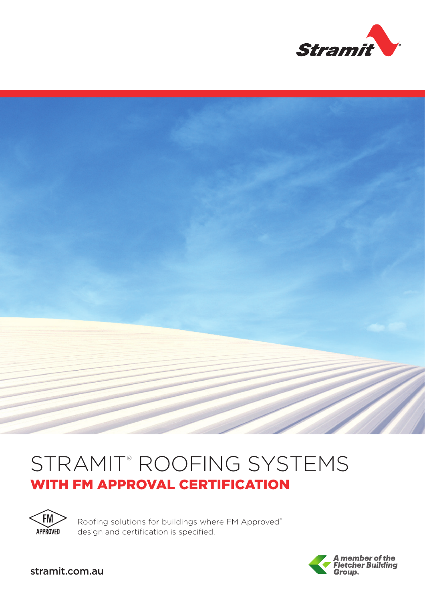



# STRAMIT® ROOFING SYSTEMS WITH FM APPROVAL CERTIFICATION



Roofing solutions for buildings where FM Approved® design and certification is specified.



stramit.com.au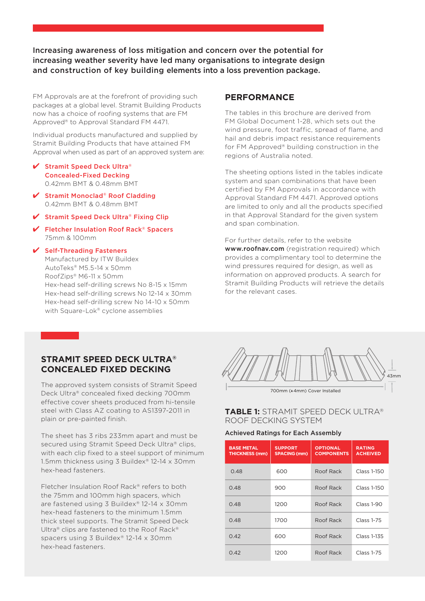Increasing awareness of loss mitigation and concern over the potential for increasing weather severity have led many organisations to integrate design and construction of key building elements into a loss prevention package.

FM Approvals are at the forefront of providing such packages at a global level. Stramit Building Products now has a choice of roofing systems that are FM Approved® to Approval Standard FM 4471.

Individual products manufactured and supplied by Stramit Building Products that have attained FM Approval when used as part of an approved system are:

- ✔ Stramit Speed Deck Ultra® Concealed-Fixed Decking 0.42mm BMT & 0.48mm BMT
- ↓ Stramit Monoclad® Roof Cladding 0.42mm BMT & 0.48mm BMT
- ↓ Stramit Speed Deck Ultra® Fixing Clip
- 4 Fletcher Insulation Roof Rack® Spacers 75mm & 100mm

4 Self-Threading Fasteners Manufactured by ITW Buildex AutoTeks® M5.5-14 x 50mm RoofZips® M6-11 x 50mm Hex-head self-drilling screws No 8-15 x 15mm Hex-head self-drilling screws No 12-14 x 30mm Hex-head self-drilling screw No 14-10 x 50mm with Square-Lok® cyclone assemblies

## **PERFORMANCE**

The tables in this brochure are derived from FM Global Document 1-28, which sets out the wind pressure, foot traffic, spread of flame, and hail and debris impact resistance requirements for FM Approved® building construction in the regions of Australia noted.

The sheeting options listed in the tables indicate system and span combinations that have been certified by FM Approvals in accordance with Approval Standard FM 4471. Approved options are limited to only and all the products specified in that Approval Standard for the given system and span combination.

For further details, refer to the website www.roofnav.com (registration required) which provides a complimentary tool to determine the wind pressures required for design, as well as information on approved products. A search for Stramit Building Products will retrieve the details for the relevant cases.

## **STRAMIT SPEED DECK ULTRA® CONCEALED FIXED DECKING**

The approved system consists of Stramit Speed Deck Ultra® concealed fixed decking 700mm effective cover sheets produced from hi-tensile steel with Class AZ coating to AS1397-2011 in plain or pre-painted finish.

The sheet has 3 ribs 233mm apart and must be secured using Stramit Speed Deck Ultra® clips, with each clip fixed to a steel support of minimum 1.5mm thickness using 3 Buildex® 12-14 x 30mm hex-head fasteners.

Fletcher Insulation Roof Rack® refers to both the 75mm and 100mm high spacers, which are fastened using 3 Buildex® 12-14 x 30mm hex-head fasteners to the minimum 1.5mm thick steel supports. The Stramit Speed Deck Ultra® clips are fastened to the Roof Rack® spacers using 3 Buildex® 12-14 x 30mm hex-head fasteners.



#### **TABLE 1:** STRAMIT SPEED DECK ULTRA® ROOF DECKING SYSTEM

#### Achieved Ratings for Each Assembly

| <b>BASE METAL</b><br><b>THICKNESS (mm)</b> | <b>SUPPORT</b><br><b>SPACING (mm)</b> | <b>OPTIONAL</b><br><b>COMPONENTS</b> | <b>RATING</b><br><b>ACHEIVED</b> |
|--------------------------------------------|---------------------------------------|--------------------------------------|----------------------------------|
| 0.48                                       | 600                                   | Roof Rack                            | Class 1-150                      |
| 0.48                                       | 900                                   | Roof Rack                            | Class 1-150                      |
| 0.48                                       | 1200                                  | Roof Rack                            | <b>Class 1-90</b>                |
| 0.48                                       | 1700                                  | Roof Rack                            | <b>Class 1-75</b>                |
| 0.42                                       | 600                                   | Roof Rack                            | Class 1-135                      |
| 0.42                                       | 1200                                  | Roof Rack                            | Class 1-75                       |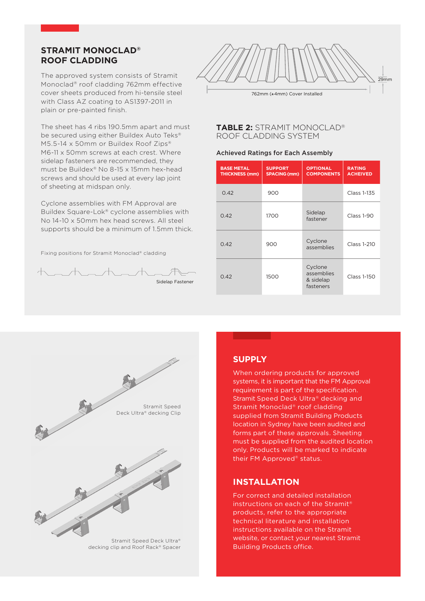## **STRAMIT MONOCLAD® ROOF CLADDING**

The approved system consists of Stramit Monoclad® roof cladding 762mm effective cover sheets produced from hi-tensile steel with Class AZ coating to AS1397-2011 in plain or pre-painted finish.

The sheet has 4 ribs 190.5mm apart and must be secured using either Buildex Auto Teks® M5.5-14 x 50mm or Buildex Roof Zips® M6-11 x 50mm screws at each crest. Where sidelap fasteners are recommended, they must be Buildex® No 8-15 x 15mm hex-head screws and should be used at every lap joint of sheeting at midspan only.

Cyclone assemblies with FM Approval are Buildex Square-Lok® cyclone assemblies with No 14-10 x 50mm hex head screws. All steel supports should be a minimum of 1.5mm thick.

Fixing positions for Stramit Monoclad® cladding





762mm (±4mm) Cover Installed

## **TABLE 2:** STRAMIT MONOCLAD® ROOF CLADDING SYSTEM

#### Achieved Ratings for Each Assembly

| <b>BASE METAL</b><br><b>THICKNESS (mm)</b> | <b>SUPPORT</b><br><b>SPACING (mm)</b> | <b>OPTIONAL</b><br><b>COMPONENTS</b>            | <b>RATING</b><br><b>ACHEIVED</b> |
|--------------------------------------------|---------------------------------------|-------------------------------------------------|----------------------------------|
| 0.42                                       | 900                                   |                                                 | Class 1-135                      |
| 0.42                                       | 1700                                  | Sidelap<br>fastener                             | <b>Class 1-90</b>                |
| 0.42                                       | 900                                   | Cyclone<br>assemblies                           | Class 1-210                      |
| 0.42                                       | 1500                                  | Cyclone<br>assemblies<br>& sidelap<br>fasteners | Class 1-150                      |



Stramit Speed Deck Ultra® decking clip and Roof Rack® Spacer

## **SUPPLY**

When ordering products for approved systems, it is important that the FM Approval requirement is part of the specification. Stramit Speed Deck Ultra® decking and Stramit Monoclad® roof cladding supplied from Stramit Building Products location in Sydney have been audited and forms part of these approvals. Sheeting must be supplied from the audited location only. Products will be marked to indicate their FM Approved® status.

## **INSTALLATION**

For correct and detailed installation instructions on each of the Stramit® products, refer to the appropriate technical literature and installation instructions available on the Stramit website, or contact your nearest Stramit Building Products office.